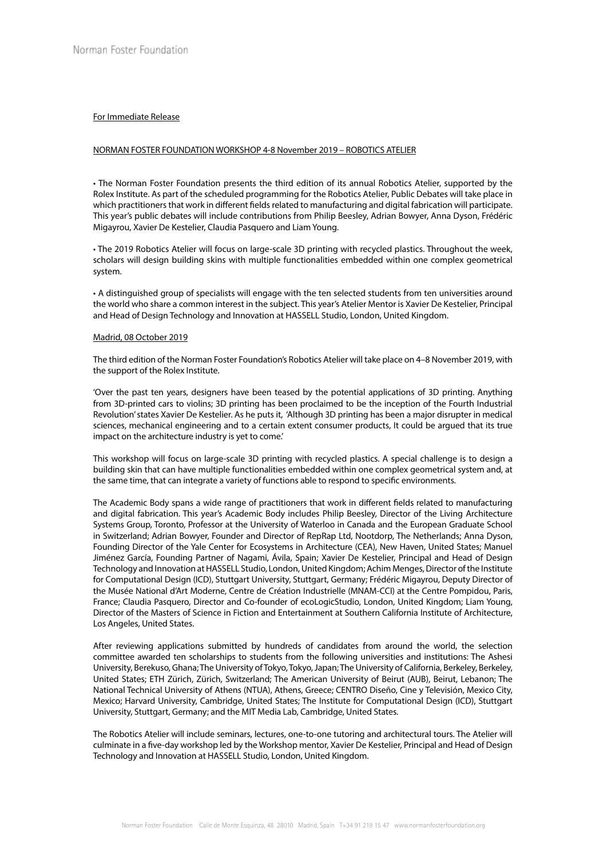## For Immediate Release

## NORMAN FOSTER FOUNDATION WORKSHOP 4-8 November 2019 – ROBOTICS ATELIER

• The Norman Foster Foundation presents the third edition of its annual Robotics Atelier, supported by the Rolex Institute. As part of the scheduled programming for the Robotics Atelier, Public Debates will take place in which practitioners that work in different fields related to manufacturing and digital fabrication will participate. This year's public debates will include contributions from Philip Beesley, Adrian Bowyer, Anna Dyson, Frédéric Migayrou, Xavier De Kestelier, Claudia Pasquero and Liam Young.

• The 2019 Robotics Atelier will focus on large-scale 3D printing with recycled plastics. Throughout the week, scholars will design building skins with multiple functionalities embedded within one complex geometrical system.

• A distinguished group of specialists will engage with the ten selected students from ten universities around the world who share a common interest in the subject. This year's Atelier Mentor is Xavier De Kestelier, Principal and Head of Design Technology and Innovation at HASSELL Studio, London, United Kingdom.

## Madrid, 08 October 2019

The third edition of the Norman Foster Foundation's Robotics Atelier will take place on 4–8 November 2019, with the support of the Rolex Institute.

'Over the past ten years, designers have been teased by the potential applications of 3D printing. Anything from 3D-printed cars to violins; 3D printing has been proclaimed to be the inception of the Fourth Industrial Revolution' states Xavier De Kestelier. As he puts it, 'Although 3D printing has been a major disrupter in medical sciences, mechanical engineering and to a certain extent consumer products, It could be argued that its true impact on the architecture industry is yet to come.'

This workshop will focus on large-scale 3D printing with recycled plastics. A special challenge is to design a building skin that can have multiple functionalities embedded within one complex geometrical system and, at the same time, that can integrate a variety of functions able to respond to specific environments.

The Academic Body spans a wide range of practitioners that work in different fields related to manufacturing and digital fabrication. This year's Academic Body includes Philip Beesley, Director of the Living Architecture Systems Group, Toronto, Professor at the University of Waterloo in Canada and the European Graduate School in Switzerland; Adrian Bowyer, Founder and Director of RepRap Ltd, Nootdorp, The Netherlands; Anna Dyson, Founding Director of the Yale Center for Ecosystems in Architecture (CEA), New Haven, United States; Manuel Jiménez García, Founding Partner of Nagami, Ávila, Spain; Xavier De Kestelier, Principal and Head of Design Technology and Innovation at HASSELL Studio, London, United Kingdom; Achim Menges, Director of the Institute for Computational Design (ICD), Stuttgart University, Stuttgart, Germany; Frédéric Migayrou, Deputy Director of the Musée National d'Art Moderne, Centre de Création Industrielle (MNAM-CCI) at the Centre Pompidou, Paris, France; Claudia Pasquero, Director and Co-founder of ecoLogicStudio, London, United Kingdom; Liam Young, Director of the Masters of Science in Fiction and Entertainment at Southern California Institute of Architecture, Los Angeles, United States.

After reviewing applications submitted by hundreds of candidates from around the world, the selection committee awarded ten scholarships to students from the following universities and institutions: The Ashesi University, Berekuso, Ghana; The University of Tokyo, Tokyo, Japan; The University of California, Berkeley, Berkeley, United States; ETH Zürich, Zürich, Switzerland; The American University of Beirut (AUB), Beirut, Lebanon; The National Technical University of Athens (NTUA), Athens, Greece; CENTRO Diseño, Cine y Televisión, Mexico City, Mexico; Harvard University, Cambridge, United States; The Institute for Computational Design (ICD), Stuttgart University, Stuttgart, Germany; and the MIT Media Lab, Cambridge, United States.

The Robotics Atelier will include seminars, lectures, one-to-one tutoring and architectural tours. The Atelier will culminate in a five-day workshop led by the Workshop mentor, Xavier De Kestelier, Principal and Head of Design Technology and Innovation at HASSELL Studio, London, United Kingdom.